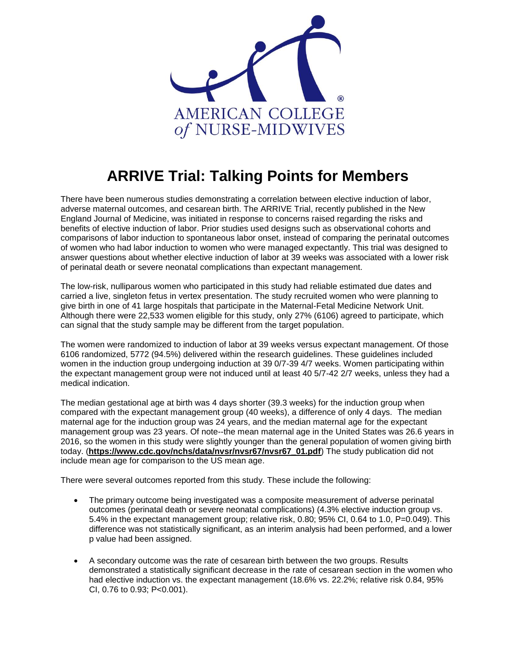

## **ARRIVE Trial: Talking Points for Members**

There have been numerous studies demonstrating a correlation between elective induction of labor, adverse maternal outcomes, and cesarean birth. The ARRIVE Trial, recently published in the New England Journal of Medicine, was initiated in response to concerns raised regarding the risks and benefits of elective induction of labor. Prior studies used designs such as observational cohorts and comparisons of labor induction to spontaneous labor onset, instead of comparing the perinatal outcomes of women who had labor induction to women who were managed expectantly. This trial was designed to answer questions about whether elective induction of labor at 39 weeks was associated with a lower risk of perinatal death or severe neonatal complications than expectant management.

The low-risk, nulliparous women who participated in this study had reliable estimated due dates and carried a live, singleton fetus in vertex presentation. The study recruited women who were planning to give birth in one of 41 large hospitals that participate in the Maternal-Fetal Medicine Network Unit. Although there were 22,533 women eligible for this study, only 27% (6106) agreed to participate, which can signal that the study sample may be different from the target population.

The women were randomized to induction of labor at 39 weeks versus expectant management. Of those 6106 randomized, 5772 (94.5%) delivered within the research guidelines. These guidelines included women in the induction group undergoing induction at 39 0/7-39 4/7 weeks. Women participating within the expectant management group were not induced until at least 40 5/7-42 2/7 weeks, unless they had a medical indication.

The median gestational age at birth was 4 days shorter (39.3 weeks) for the induction group when compared with the expectant management group (40 weeks), a difference of only 4 days. The median maternal age for the induction group was 24 years, and the median maternal age for the expectant management group was 23 years. Of note--the mean maternal age in the United States was 26.6 years in 2016, so the women in this study were slightly younger than the general population of women giving birth today. (**[https://www.cdc.gov/nchs/data/nvsr/nvsr67/nvsr67\\_01.pdf](https://www.cdc.gov/nchs/data/nvsr/nvsr67/nvsr67_01.pdf)**) The study publication did not include mean age for comparison to the US mean age.

There were several outcomes reported from this study. These include the following:

- The primary outcome being investigated was a composite measurement of adverse perinatal outcomes (perinatal death or severe neonatal complications) (4.3% elective induction group vs. 5.4% in the expectant management group; relative risk, 0.80; 95% CI, 0.64 to 1.0, P=0.049). This difference was not statistically significant, as an interim analysis had been performed, and a lower p value had been assigned.
- A secondary outcome was the rate of cesarean birth between the two groups. Results demonstrated a statistically significant decrease in the rate of cesarean section in the women who had elective induction vs. the expectant management (18.6% vs. 22.2%; relative risk 0.84, 95% CI, 0.76 to 0.93; P<0.001).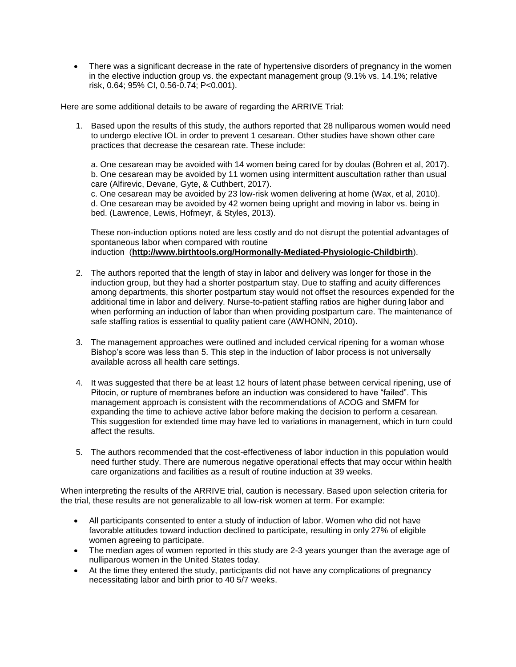• There was a significant decrease in the rate of hypertensive disorders of pregnancy in the women in the elective induction group vs. the expectant management group (9.1% vs. 14.1%; relative risk, 0.64; 95% CI, 0.56-0.74; P<0.001).

Here are some additional details to be aware of regarding the ARRIVE Trial:

1. Based upon the results of this study, the authors reported that 28 nulliparous women would need to undergo elective IOL in order to prevent 1 cesarean. Other studies have shown other care practices that decrease the cesarean rate. These include:

a. One cesarean may be avoided with 14 women being cared for by doulas (Bohren et al, 2017). b. One cesarean may be avoided by 11 women using intermittent auscultation rather than usual care (Alfirevic, Devane, Gyte, & Cuthbert, 2017).

c. One cesarean may be avoided by 23 low-risk women delivering at home (Wax, et al, 2010). d. One cesarean may be avoided by 42 women being upright and moving in labor vs. being in bed. (Lawrence, Lewis, Hofmeyr, & Styles, 2013).

These non-induction options noted are less costly and do not disrupt the potential advantages of spontaneous labor when compared with routine induction (**<http://www.birthtools.org/Hormonally-Mediated-Physiologic-Childbirth>**).

- 2. The authors reported that the length of stay in labor and delivery was longer for those in the induction group, but they had a shorter postpartum stay. Due to staffing and acuity differences among departments, this shorter postpartum stay would not offset the resources expended for the additional time in labor and delivery. Nurse-to-patient staffing ratios are higher during labor and when performing an induction of labor than when providing postpartum care. The maintenance of safe staffing ratios is essential to quality patient care (AWHONN, 2010).
- 3. The management approaches were outlined and included cervical ripening for a woman whose Bishop's score was less than 5. This step in the induction of labor process is not universally available across all health care settings.
- 4. It was suggested that there be at least 12 hours of latent phase between cervical ripening, use of Pitocin, or rupture of membranes before an induction was considered to have "failed". This management approach is consistent with the recommendations of ACOG and SMFM for expanding the time to achieve active labor before making the decision to perform a cesarean. This suggestion for extended time may have led to variations in management, which in turn could affect the results.
- 5. The authors recommended that the cost-effectiveness of labor induction in this population would need further study. There are numerous negative operational effects that may occur within health care organizations and facilities as a result of routine induction at 39 weeks.

When interpreting the results of the ARRIVE trial, caution is necessary. Based upon selection criteria for the trial, these results are not generalizable to all low-risk women at term. For example:

- All participants consented to enter a study of induction of labor. Women who did not have favorable attitudes toward induction declined to participate, resulting in only 27% of eligible women agreeing to participate.
- The median ages of women reported in this study are 2-3 years younger than the average age of nulliparous women in the United States today.
- At the time they entered the study, participants did not have any complications of pregnancy necessitating labor and birth prior to 40 5/7 weeks.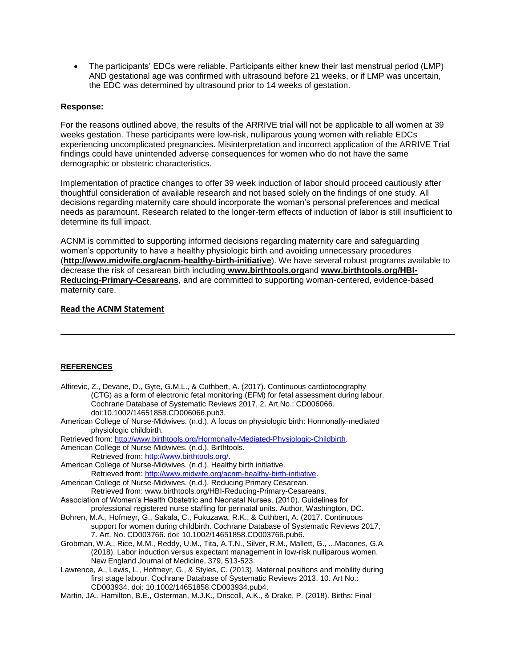• The participants' EDCs were reliable. Participants either knew their last menstrual period (LMP) AND gestational age was confirmed with ultrasound before 21 weeks, or if LMP was uncertain, the EDC was determined by ultrasound prior to 14 weeks of gestation.

## **Response:**

For the reasons outlined above, the results of the ARRIVE trial will not be applicable to all women at 39 weeks gestation. These participants were low-risk, nulliparous young women with reliable EDCs experiencing uncomplicated pregnancies. Misinterpretation and incorrect application of the ARRIVE Trial findings could have unintended adverse consequences for women who do not have the same demographic or obstetric characteristics.

Implementation of practice changes to offer 39 week induction of labor should proceed cautiously after thoughtful consideration of available research and not based solely on the findings of one study. All decisions regarding maternity care should incorporate the woman's personal preferences and medical needs as paramount. Research related to the longer-term effects of induction of labor is still insufficient to determine its full impact.

ACNM is committed to supporting informed decisions regarding maternity care and safeguarding women's opportunity to have a healthy physiologic birth and avoiding unnecessary procedures (**<http://www.midwife.org/acnm-healthy-birth-initiative>**). We have several robust programs available to decrease the risk of cesarean birth including **[www.birthtools.org](http://www.birthtools.org/)**and **[www.birthtools.org/HBI-](http://www.birthtools.org/HBI-Reducing-Primary-Cesareans)[Reducing-Primary-Cesareans](http://www.birthtools.org/HBI-Reducing-Primary-Cesareans)**, and are committed to supporting woman-centered, evidence-based maternity care.

## **[Read the ACNM Statement](http://midwife.org/ACNM-Responds-to-Release-of-ARRIVE-Trial-Study-Results)**

## **REFERENCES**

| Alfirevic, Z., Devane, D., Gyte, G.M.L., & Cuthbert, A. (2017). Continuous cardiotocography<br>(CTG) as a form of electronic fetal monitoring (EFM) for fetal assessment during labour.<br>Cochrane Database of Systematic Reviews 2017, 2. Art. No.: CD006066.<br>doi:10.1002/14651858.CD006066.pub3. |  |
|--------------------------------------------------------------------------------------------------------------------------------------------------------------------------------------------------------------------------------------------------------------------------------------------------------|--|
| American College of Nurse-Midwives. (n.d.). A focus on physiologic birth: Hormonally-mediated<br>physiologic childbirth.                                                                                                                                                                               |  |
| Retrieved from: http://www.birthtools.org/Hormonally-Mediated-Physiologic-Childbirth.                                                                                                                                                                                                                  |  |
| American College of Nurse-Midwives. (n.d.). Birthtools.                                                                                                                                                                                                                                                |  |
| Retrieved from: http://www.birthtools.org/.                                                                                                                                                                                                                                                            |  |
| American College of Nurse-Midwives. (n.d.). Healthy birth initiative.                                                                                                                                                                                                                                  |  |
| Retrieved from: http://www.midwife.org/acnm-healthy-birth-initiative.                                                                                                                                                                                                                                  |  |
| American College of Nurse-Midwives. (n.d.). Reducing Primary Cesarean.                                                                                                                                                                                                                                 |  |
| Retrieved from: www.birthtools.org/HBI-Reducing-Primary-Cesareans.                                                                                                                                                                                                                                     |  |
| Association of Women's Health Obstetric and Neonatal Nurses. (2010). Guidelines for                                                                                                                                                                                                                    |  |
| professional registered nurse staffing for perinatal units. Author, Washington, DC.                                                                                                                                                                                                                    |  |
| Bohren, M.A., Hofmeyr, G., Sakala, C., Fukuzawa, R.K., & Cuthbert, A. (2017. Continuous                                                                                                                                                                                                                |  |
| support for women during childbirth. Cochrane Database of Systematic Reviews 2017,                                                                                                                                                                                                                     |  |
| 7. Art. No. CD003766. doi: 10.1002/14651858.CD003766.pub6.                                                                                                                                                                                                                                             |  |
| Grobman, W.A., Rice, M.M., Reddy, U.M., Tita, A.T.N., Silver, R.M., Mallett, G., Macones, G.A.                                                                                                                                                                                                         |  |
| (2018). Labor induction versus expectant management in low-risk nulliparous women.                                                                                                                                                                                                                     |  |
| New England Journal of Medicine, 379, 513-523.                                                                                                                                                                                                                                                         |  |
| Lawrence, A., Lewis, L., Hofmeyr, G., & Styles, C. (2013). Maternal positions and mobility during                                                                                                                                                                                                      |  |
| first stage labour. Cochrane Database of Systematic Reviews 2013, 10. Art No.:                                                                                                                                                                                                                         |  |
| CD003934. doi: 10.1002/14651858.CD003934.pub4.                                                                                                                                                                                                                                                         |  |
|                                                                                                                                                                                                                                                                                                        |  |

Martin, JA., Hamilton, B.E., Osterman, M.J.K., Driscoll, A.K., & Drake, P. (2018). Births: Final